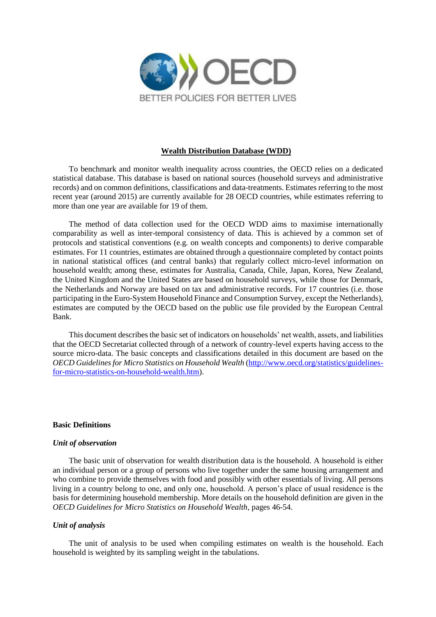

### **Wealth Distribution Database (WDD)**

To benchmark and monitor wealth inequality across countries, the OECD relies on a dedicated statistical database. This database is based on national sources (household surveys and administrative records) and on common definitions, classifications and data-treatments. Estimates referring to the most recent year (around 2015) are currently available for 28 OECD countries, while estimates referring to more than one year are available for 19 of them.

The method of data collection used for the OECD WDD aims to maximise internationally comparability as well as inter-temporal consistency of data. This is achieved by a common set of protocols and statistical conventions (e.g. on wealth concepts and components) to derive comparable estimates. For 11 countries, estimates are obtained through a questionnaire completed by contact points in national statistical offices (and central banks) that regularly collect micro-level information on household wealth; among these, estimates for Australia, Canada, Chile, Japan, Korea, New Zealand, the United Kingdom and the United States are based on household surveys, while those for Denmark, the Netherlands and Norway are based on tax and administrative records. For 17 countries (i.e. those participating in the Euro-System Household Finance and Consumption Survey, except the Netherlands), estimates are computed by the OECD based on the public use file provided by the European Central Bank.

This document describes the basic set of indicators on households' net wealth, assets, and liabilities that the OECD Secretariat collected through of a network of country-level experts having access to the source micro-data. The basic concepts and classifications detailed in this document are based on the *OECD Guidelines for Micro Statistics on Household Wealth* [\(http://www.oecd.org/statistics/guidelines](http://www.oecd.org/statistics/guidelines-for-micro-statistics-on-household-wealth.htm)[for-micro-statistics-on-household-wealth.htm\)](http://www.oecd.org/statistics/guidelines-for-micro-statistics-on-household-wealth.htm).

### **Basic Definitions**

### *Unit of observation*

The basic unit of observation for wealth distribution data is the household. A household is either an individual person or a group of persons who live together under the same housing arrangement and who combine to provide themselves with food and possibly with other essentials of living. All persons living in a country belong to one, and only one, household. A person's place of usual residence is the basis for determining household membership. More details on the household definition are given in the *OECD Guidelines for Micro Statistics on Household Wealth*, pages 46-54.

## *Unit of analysis*

The unit of analysis to be used when compiling estimates on wealth is the household. Each household is weighted by its sampling weight in the tabulations.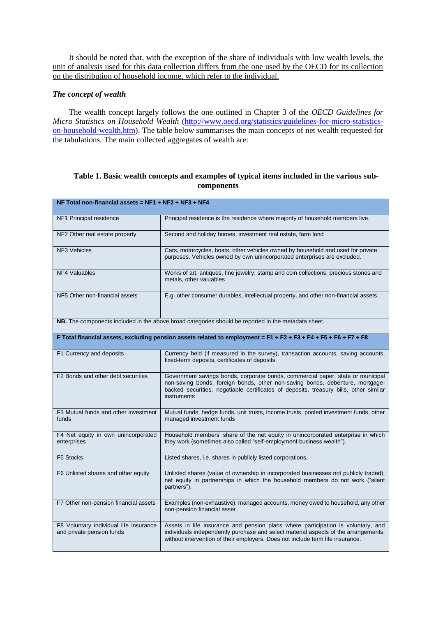It should be noted that, with the exception of the share of individuals with low wealth levels, the unit of analysis used for this data collection differs from the one used by the OECD for its collection on the distribution of household income, which refer to the individual.

# *The concept of wealth*

The wealth concept largely follows the one outlined in Chapter 3 of the *OECD Guidelines for Micro Statistics on Household Wealth* [\(http://www.oecd.org/statistics/guidelines-for-micro-statistics](http://www.oecd.org/statistics/guidelines-for-micro-statistics-on-household-wealth.htm)[on-household-wealth.htm\)](http://www.oecd.org/statistics/guidelines-for-micro-statistics-on-household-wealth.htm). The table below summarises the main concepts of net wealth requested for the tabulations. The main collected aggregates of wealth are:

# **Table 1. Basic wealth concepts and examples of typical items included in the various subcomponents**

| NF Total non-financial assets = NF1 + NF2 + NF3 + NF4                                                            |                                                                                                                                                                                                                                                                          |  |
|------------------------------------------------------------------------------------------------------------------|--------------------------------------------------------------------------------------------------------------------------------------------------------------------------------------------------------------------------------------------------------------------------|--|
| NF1 Principal residence                                                                                          | Principal residence is the residence where majority of household members live.                                                                                                                                                                                           |  |
| NF2 Other real estate property                                                                                   | Second and holiday homes, investment real estate, farm land                                                                                                                                                                                                              |  |
| <b>NF3 Vehicles</b>                                                                                              | Cars, motorcycles, boats, other vehicles owned by household and used for private<br>purposes. Vehicles owned by own unincorporated enterprises are excluded.                                                                                                             |  |
| <b>NF4 Valuables</b>                                                                                             | Works of art, antiques, fine jewelry, stamp and coin collections, precious stones and<br>metals, other valuables                                                                                                                                                         |  |
| NF5 Other non-financial assets                                                                                   | E.g. other consumer durables, intellectual property, and other non-financial assets.                                                                                                                                                                                     |  |
| NB. The components included in the above broad categories should be reported in the metadata sheet.              |                                                                                                                                                                                                                                                                          |  |
| F Total financial assets, excluding pension assets related to employment = F1 + F2 + F3 + F4 + F5 + F6 + F7 + F8 |                                                                                                                                                                                                                                                                          |  |
| F1 Currency and deposits                                                                                         | Currency held (if measured in the survey), transaction accounts, saving accounts,<br>fixed-term deposits, certificates of deposits.                                                                                                                                      |  |
| F2 Bonds and other debt securities                                                                               | Government savings bonds, corporate bonds, commercial paper, state or municipal<br>non-saving bonds, foreign bonds, other non-saving bonds, debenture, mortgage-<br>backed securities, negotiable certificates of deposits, treasury bills, other similar<br>instruments |  |
| F3 Mutual funds and other investment<br>funds                                                                    | Mutual funds, hedge funds, unit trusts, income trusts, pooled investment funds, other<br>managed investment funds                                                                                                                                                        |  |
| F4 Net equity in own unincorporated<br>enterprises                                                               | Household members' share of the net equity in unincorporated enterprise in which<br>they work (sometimes also called "self-employment business wealth").                                                                                                                 |  |
| F5 Stocks                                                                                                        | Listed shares, i.e. shares in publicly listed corporations.                                                                                                                                                                                                              |  |
| F6 Unlisted shares and other equity                                                                              | Unlisted shares (value of ownership in incorporated businesses not publicly traded),<br>net equity in partnerships in which the household members do not work ("silent<br>partners").                                                                                    |  |
| F7 Other non-pension financial assets                                                                            | Examples (non-exhaustive): managed accounts, money owed to household, any other<br>non-pension financial asset                                                                                                                                                           |  |
| F8 Voluntary individual life insurance<br>and private pension funds                                              | Assets in life insurance and pension plans where participation is voluntary, and<br>individuals independently purchase and select material aspects of the arrangements,<br>without intervention of their employers. Does not include term life insurance.                |  |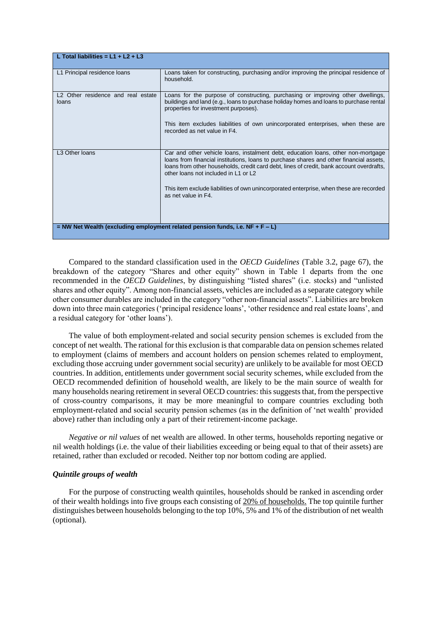| L Total liabilities = $L1 + L2 + L3$                                                |                                                                                                                                                                                                                                                                                                                                                                                                                                    |
|-------------------------------------------------------------------------------------|------------------------------------------------------------------------------------------------------------------------------------------------------------------------------------------------------------------------------------------------------------------------------------------------------------------------------------------------------------------------------------------------------------------------------------|
| L1 Principal residence loans                                                        | Loans taken for constructing, purchasing and/or improving the principal residence of<br>household.                                                                                                                                                                                                                                                                                                                                 |
| L <sub>2</sub> Other residence and real estate<br>loans                             | Loans for the purpose of constructing, purchasing or improving other dwellings,<br>buildings and land (e.g., loans to purchase holiday homes and loans to purchase rental<br>properties for investment purposes).<br>This item excludes liabilities of own unincorporated enterprises, when these are<br>recorded as net value in F4.                                                                                              |
| L3 Other Ioans                                                                      | Car and other vehicle loans, instalment debt, education loans, other non-mortgage<br>loans from financial institutions, loans to purchase shares and other financial assets,<br>loans from other households, credit card debt, lines of credit, bank account overdrafts,<br>other loans not included in L1 or L2<br>This item exclude liabilities of own unincorporated enterprise, when these are recorded<br>as net value in F4. |
| $=$ NW Net Wealth (excluding employment related pension funds, i.e. NF $+$ F $-$ L) |                                                                                                                                                                                                                                                                                                                                                                                                                                    |

Compared to the standard classification used in the *OECD Guidelines* (Table 3.2, page 67), the breakdown of the category "Shares and other equity" shown in Table 1 departs from the one recommended in the *OECD Guidelines*, by distinguishing "listed shares" (i.e. stocks) and "unlisted shares and other equity". Among non-financial assets, vehicles are included as a separate category while other consumer durables are included in the category "other non-financial assets". Liabilities are broken down into three main categories ('principal residence loans', 'other residence and real estate loans', and a residual category for 'other loans').

The value of both employment-related and social security pension schemes is excluded from the concept of net wealth*.* The rational for this exclusion is that comparable data on pension schemes related to employment (claims of members and account holders on pension schemes related to employment, excluding those accruing under government social security) are unlikely to be available for most OECD countries. In addition, entitlements under government social security schemes, while excluded from the OECD recommended definition of household wealth, are likely to be the main source of wealth for many households nearing retirement in several OECD countries: this suggests that, from the perspective of cross-country comparisons, it may be more meaningful to compare countries excluding both employment-related and social security pension schemes (as in the definition of 'net wealth' provided above) rather than including only a part of their retirement-income package.

*Negative or nil values* of net wealth are allowed. In other terms, households reporting negative or nil wealth holdings (i.e. the value of their liabilities exceeding or being equal to that of their assets) are retained, rather than excluded or recoded. Neither top nor bottom coding are applied.

### *Quintile groups of wealth*

For the purpose of constructing wealth quintiles, households should be ranked in ascending order of their wealth holdings into five groups each consisting of 20% of households. The top quintile further distinguishes between households belonging to the top 10%, 5% and 1% of the distribution of net wealth (optional).